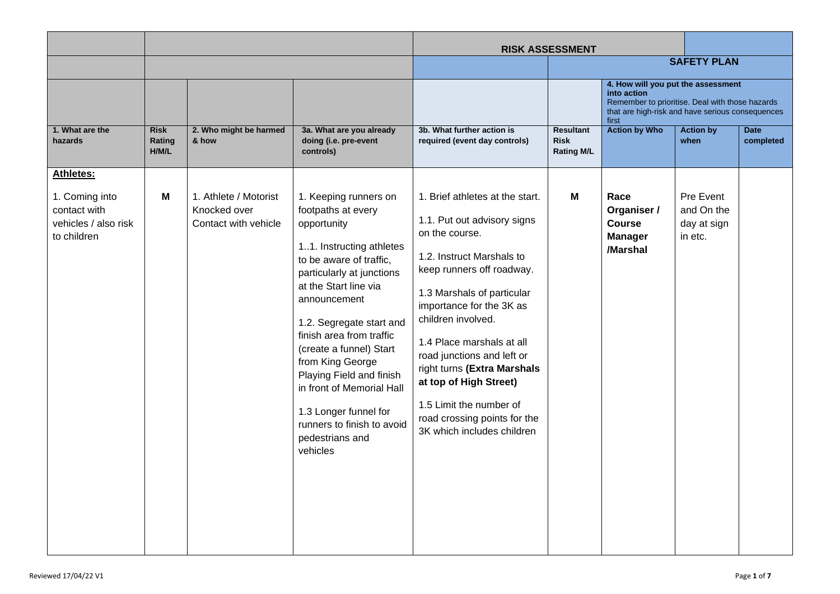|                                                                       |                                |                                                               |                                                                                                                                                                                                                                                                                                                                                                                                                                               | <b>RISK ASSESSMENT</b>                                                                                                                                                                                                                                                                                                                                                                                                                  |                                                      |                                                                                                                                                                   |                                                   |                          |
|-----------------------------------------------------------------------|--------------------------------|---------------------------------------------------------------|-----------------------------------------------------------------------------------------------------------------------------------------------------------------------------------------------------------------------------------------------------------------------------------------------------------------------------------------------------------------------------------------------------------------------------------------------|-----------------------------------------------------------------------------------------------------------------------------------------------------------------------------------------------------------------------------------------------------------------------------------------------------------------------------------------------------------------------------------------------------------------------------------------|------------------------------------------------------|-------------------------------------------------------------------------------------------------------------------------------------------------------------------|---------------------------------------------------|--------------------------|
|                                                                       |                                |                                                               |                                                                                                                                                                                                                                                                                                                                                                                                                                               |                                                                                                                                                                                                                                                                                                                                                                                                                                         |                                                      |                                                                                                                                                                   | <b>SAFETY PLAN</b>                                |                          |
|                                                                       |                                |                                                               |                                                                                                                                                                                                                                                                                                                                                                                                                                               |                                                                                                                                                                                                                                                                                                                                                                                                                                         |                                                      | 4. How will you put the assessment<br>into action<br>Remember to prioritise. Deal with those hazards<br>that are high-risk and have serious consequences<br>first |                                                   |                          |
| 1. What are the<br>hazards                                            | <b>Risk</b><br>Rating<br>H/M/L | 2. Who might be harmed<br>& how                               | 3a. What are you already<br>doing (i.e. pre-event<br>controls)                                                                                                                                                                                                                                                                                                                                                                                | 3b. What further action is<br>required (event day controls)                                                                                                                                                                                                                                                                                                                                                                             | <b>Resultant</b><br><b>Risk</b><br><b>Rating M/L</b> | <b>Action by Who</b>                                                                                                                                              | <b>Action by</b><br>when                          | <b>Date</b><br>completed |
| <b>Athletes:</b>                                                      |                                |                                                               |                                                                                                                                                                                                                                                                                                                                                                                                                                               |                                                                                                                                                                                                                                                                                                                                                                                                                                         |                                                      |                                                                                                                                                                   |                                                   |                          |
| 1. Coming into<br>contact with<br>vehicles / also risk<br>to children | М                              | 1. Athlete / Motorist<br>Knocked over<br>Contact with vehicle | 1. Keeping runners on<br>footpaths at every<br>opportunity<br>11. Instructing athletes<br>to be aware of traffic,<br>particularly at junctions<br>at the Start line via<br>announcement<br>1.2. Segregate start and<br>finish area from traffic<br>(create a funnel) Start<br>from King George<br>Playing Field and finish<br>in front of Memorial Hall<br>1.3 Longer funnel for<br>runners to finish to avoid<br>pedestrians and<br>vehicles | 1. Brief athletes at the start.<br>1.1. Put out advisory signs<br>on the course.<br>1.2. Instruct Marshals to<br>keep runners off roadway.<br>1.3 Marshals of particular<br>importance for the 3K as<br>children involved.<br>1.4 Place marshals at all<br>road junctions and left or<br>right turns (Extra Marshals<br>at top of High Street)<br>1.5 Limit the number of<br>road crossing points for the<br>3K which includes children | м                                                    | Race<br>Organiser /<br><b>Course</b><br><b>Manager</b><br>/Marshal                                                                                                | Pre Event<br>and On the<br>day at sign<br>in etc. |                          |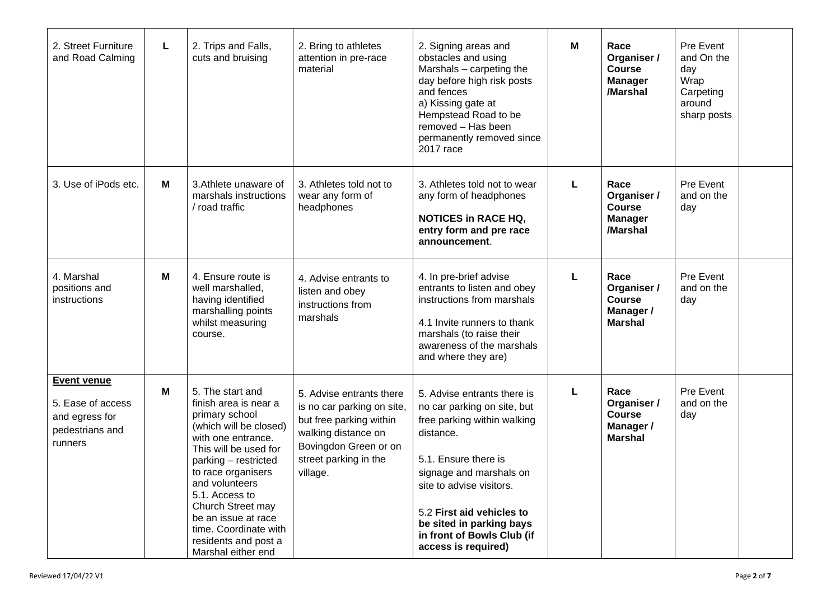| 2. Street Furniture<br>and Road Calming                                                 | L | 2. Trips and Falls,<br>cuts and bruising                                                                                                                                                                                                                                                                                                  | 2. Bring to athletes<br>attention in pre-race<br>material                                                                                                              | 2. Signing areas and<br>obstacles and using<br>Marshals - carpeting the<br>day before high risk posts<br>and fences<br>a) Kissing gate at<br>Hempstead Road to be<br>removed - Has been<br>permanently removed since<br>2017 race                                                                   | M | Race<br>Organiser /<br><b>Course</b><br><b>Manager</b><br>/Marshal  | Pre Event<br>and On the<br>day<br>Wrap<br>Carpeting<br>around<br>sharp posts |  |
|-----------------------------------------------------------------------------------------|---|-------------------------------------------------------------------------------------------------------------------------------------------------------------------------------------------------------------------------------------------------------------------------------------------------------------------------------------------|------------------------------------------------------------------------------------------------------------------------------------------------------------------------|-----------------------------------------------------------------------------------------------------------------------------------------------------------------------------------------------------------------------------------------------------------------------------------------------------|---|---------------------------------------------------------------------|------------------------------------------------------------------------------|--|
| 3. Use of iPods etc.                                                                    | M | 3. Athlete unaware of<br>marshals instructions<br>/ road traffic                                                                                                                                                                                                                                                                          | 3. Athletes told not to<br>wear any form of<br>headphones                                                                                                              | 3. Athletes told not to wear<br>any form of headphones<br><b>NOTICES in RACE HQ,</b><br>entry form and pre race<br>announcement.                                                                                                                                                                    | L | Race<br>Organiser /<br><b>Course</b><br><b>Manager</b><br>/Marshal  | Pre Event<br>and on the<br>day                                               |  |
| 4. Marshal<br>positions and<br>instructions                                             | M | 4. Ensure route is<br>well marshalled,<br>having identified<br>marshalling points<br>whilst measuring<br>course.                                                                                                                                                                                                                          | 4. Advise entrants to<br>listen and obey<br>instructions from<br>marshals                                                                                              | 4. In pre-brief advise<br>entrants to listen and obey<br>instructions from marshals<br>4.1 Invite runners to thank<br>marshals (to raise their<br>awareness of the marshals<br>and where they are)                                                                                                  | L | Race<br>Organiser /<br>Course<br>Manager /<br><b>Marshal</b>        | Pre Event<br>and on the<br>day                                               |  |
| <b>Event venue</b><br>5. Ease of access<br>and egress for<br>pedestrians and<br>runners | M | 5. The start and<br>finish area is near a<br>primary school<br>(which will be closed)<br>with one entrance.<br>This will be used for<br>parking - restricted<br>to race organisers<br>and volunteers<br>5.1. Access to<br>Church Street may<br>be an issue at race<br>time. Coordinate with<br>residents and post a<br>Marshal either end | 5. Advise entrants there<br>is no car parking on site,<br>but free parking within<br>walking distance on<br>Bovingdon Green or on<br>street parking in the<br>village. | 5. Advise entrants there is<br>no car parking on site, but<br>free parking within walking<br>distance.<br>5.1. Ensure there is<br>signage and marshals on<br>site to advise visitors.<br>5.2 First aid vehicles to<br>be sited in parking bays<br>in front of Bowls Club (if<br>access is required) | L | Race<br>Organiser /<br><b>Course</b><br>Manager /<br><b>Marshal</b> | Pre Event<br>and on the<br>day                                               |  |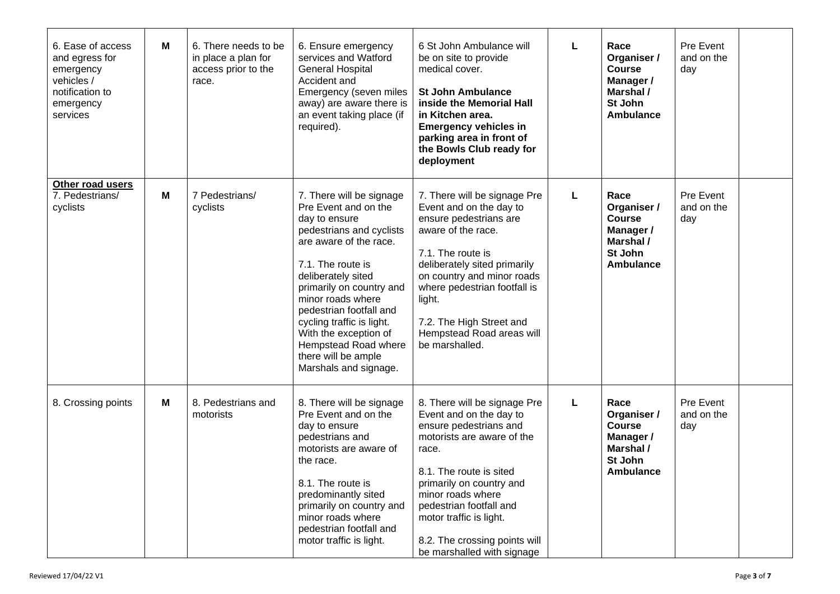| 6. Ease of access<br>and egress for<br>emergency<br>vehicles /<br>notification to<br>emergency<br>services | M | 6. There needs to be<br>in place a plan for<br>access prior to the<br>race. | 6. Ensure emergency<br>services and Watford<br><b>General Hospital</b><br>Accident and<br>Emergency (seven miles<br>away) are aware there is<br>an event taking place (if<br>required).                                                                                                                                                                                      | 6 St John Ambulance will<br>be on site to provide<br>medical cover.<br><b>St John Ambulance</b><br>inside the Memorial Hall<br>in Kitchen area.<br><b>Emergency vehicles in</b><br>parking area in front of<br>the Bowls Club ready for<br>deployment                                                                     | L | Race<br>Organiser /<br><b>Course</b><br>Manager /<br>Marshal /<br>St John<br><b>Ambulance</b> | Pre Event<br>and on the<br>day |  |
|------------------------------------------------------------------------------------------------------------|---|-----------------------------------------------------------------------------|------------------------------------------------------------------------------------------------------------------------------------------------------------------------------------------------------------------------------------------------------------------------------------------------------------------------------------------------------------------------------|---------------------------------------------------------------------------------------------------------------------------------------------------------------------------------------------------------------------------------------------------------------------------------------------------------------------------|---|-----------------------------------------------------------------------------------------------|--------------------------------|--|
| Other road users<br>7. Pedestrians/<br>cyclists                                                            | M | 7 Pedestrians/<br>cyclists                                                  | 7. There will be signage<br>Pre Event and on the<br>day to ensure<br>pedestrians and cyclists<br>are aware of the race.<br>7.1. The route is<br>deliberately sited<br>primarily on country and<br>minor roads where<br>pedestrian footfall and<br>cycling traffic is light.<br>With the exception of<br>Hempstead Road where<br>there will be ample<br>Marshals and signage. | 7. There will be signage Pre<br>Event and on the day to<br>ensure pedestrians are<br>aware of the race.<br>7.1. The route is<br>deliberately sited primarily<br>on country and minor roads<br>where pedestrian footfall is<br>light.<br>7.2. The High Street and<br>Hempstead Road areas will<br>be marshalled.           | L | Race<br>Organiser /<br><b>Course</b><br>Manager /<br>Marshal /<br>St John<br>Ambulance        | Pre Event<br>and on the<br>day |  |
| 8. Crossing points                                                                                         | M | 8. Pedestrians and<br>motorists                                             | 8. There will be signage<br>Pre Event and on the<br>day to ensure<br>pedestrians and<br>motorists are aware of<br>the race.<br>8.1. The route is<br>predominantly sited<br>primarily on country and<br>minor roads where<br>pedestrian footfall and<br>motor traffic is light.                                                                                               | 8. There will be signage Pre<br>Event and on the day to<br>ensure pedestrians and<br>motorists are aware of the<br>race.<br>8.1. The route is sited<br>primarily on country and<br>minor roads where<br>pedestrian footfall and<br>motor traffic is light.<br>8.2. The crossing points will<br>be marshalled with signage | L | Race<br>Organiser /<br><b>Course</b><br>Manager /<br>Marshal /<br>St John<br>Ambulance        | Pre Event<br>and on the<br>day |  |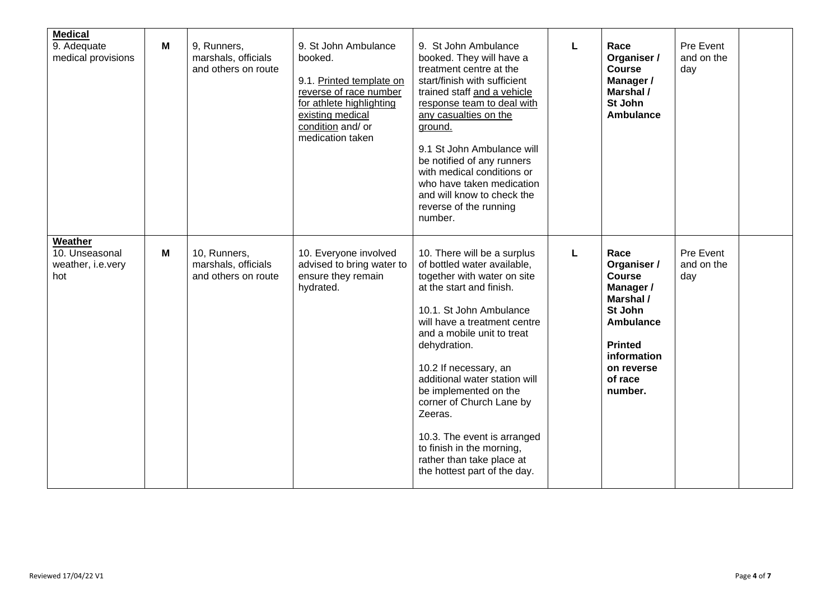| <b>Medical</b><br>9. Adequate<br>medical provisions   | M | 9, Runners,<br>marshals, officials<br>and others on route  | 9. St John Ambulance<br>booked.<br>9.1. Printed template on<br>reverse of race number<br>for athlete highlighting<br>existing medical<br>condition and/ or<br>medication taken | 9. St John Ambulance<br>booked. They will have a<br>treatment centre at the<br>start/finish with sufficient<br>trained staff and a vehicle<br>response team to deal with<br>any casualties on the<br>ground.<br>9.1 St John Ambulance will<br>be notified of any runners<br>with medical conditions or<br>who have taken medication<br>and will know to check the<br>reverse of the running<br>number.                                                                            | L | Race<br>Organiser /<br><b>Course</b><br>Manager /<br>Marshal /<br>St John<br><b>Ambulance</b>                                                               | Pre Event<br>and on the<br>day |  |
|-------------------------------------------------------|---|------------------------------------------------------------|--------------------------------------------------------------------------------------------------------------------------------------------------------------------------------|-----------------------------------------------------------------------------------------------------------------------------------------------------------------------------------------------------------------------------------------------------------------------------------------------------------------------------------------------------------------------------------------------------------------------------------------------------------------------------------|---|-------------------------------------------------------------------------------------------------------------------------------------------------------------|--------------------------------|--|
| Weather<br>10. Unseasonal<br>weather, i.e.very<br>hot | M | 10, Runners,<br>marshals, officials<br>and others on route | 10. Everyone involved<br>advised to bring water to<br>ensure they remain<br>hydrated.                                                                                          | 10. There will be a surplus<br>of bottled water available,<br>together with water on site<br>at the start and finish.<br>10.1. St John Ambulance<br>will have a treatment centre<br>and a mobile unit to treat<br>dehydration.<br>10.2 If necessary, an<br>additional water station will<br>be implemented on the<br>corner of Church Lane by<br>Zeeras.<br>10.3. The event is arranged<br>to finish in the morning,<br>rather than take place at<br>the hottest part of the day. | L | Race<br>Organiser /<br><b>Course</b><br>Manager /<br>Marshal /<br>St John<br>Ambulance<br><b>Printed</b><br>information<br>on reverse<br>of race<br>number. | Pre Event<br>and on the<br>day |  |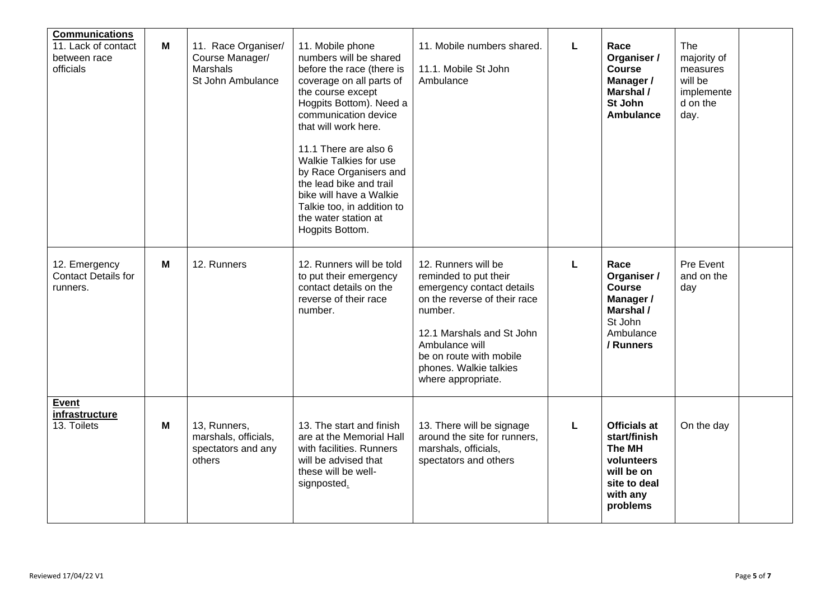| <b>Communications</b><br>11. Lack of contact<br>between race<br>officials | M | 11. Race Organiser/<br>Course Manager/<br><b>Marshals</b><br>St John Ambulance | 11. Mobile phone<br>numbers will be shared<br>before the race (there is<br>coverage on all parts of<br>the course except<br>Hogpits Bottom). Need a<br>communication device<br>that will work here.<br>11.1 There are also 6<br><b>Walkie Talkies for use</b><br>by Race Organisers and<br>the lead bike and trail<br>bike will have a Walkie<br>Talkie too, in addition to<br>the water station at<br>Hogpits Bottom. | 11. Mobile numbers shared.<br>11.1. Mobile St John<br>Ambulance                                                                                                                                                                                | L | Race<br>Organiser /<br><b>Course</b><br>Manager /<br>Marshal /<br>St John<br><b>Ambulance</b>                            | The<br>majority of<br>measures<br>will be<br>implemente<br>d on the<br>day. |  |
|---------------------------------------------------------------------------|---|--------------------------------------------------------------------------------|------------------------------------------------------------------------------------------------------------------------------------------------------------------------------------------------------------------------------------------------------------------------------------------------------------------------------------------------------------------------------------------------------------------------|------------------------------------------------------------------------------------------------------------------------------------------------------------------------------------------------------------------------------------------------|---|--------------------------------------------------------------------------------------------------------------------------|-----------------------------------------------------------------------------|--|
| 12. Emergency<br><b>Contact Details for</b><br>runners.                   | M | 12. Runners                                                                    | 12. Runners will be told<br>to put their emergency<br>contact details on the<br>reverse of their race<br>number.                                                                                                                                                                                                                                                                                                       | 12. Runners will be<br>reminded to put their<br>emergency contact details<br>on the reverse of their race<br>number.<br>12.1 Marshals and St John<br>Ambulance will<br>be on route with mobile<br>phones. Walkie talkies<br>where appropriate. | Г | Race<br>Organiser /<br><b>Course</b><br>Manager /<br>Marshal /<br>St John<br>Ambulance<br>/ Runners                      | Pre Event<br>and on the<br>day                                              |  |
| <b>Event</b><br>infrastructure<br>13. Toilets                             | M | 13, Runners,<br>marshals, officials,<br>spectators and any<br>others           | 13. The start and finish<br>are at the Memorial Hall<br>with facilities. Runners<br>will be advised that<br>these will be well-<br>signposted.                                                                                                                                                                                                                                                                         | 13. There will be signage<br>around the site for runners.<br>marshals, officials,<br>spectators and others                                                                                                                                     | L | <b>Officials at</b><br>start/finish<br><b>The MH</b><br>volunteers<br>will be on<br>site to deal<br>with any<br>problems | On the day                                                                  |  |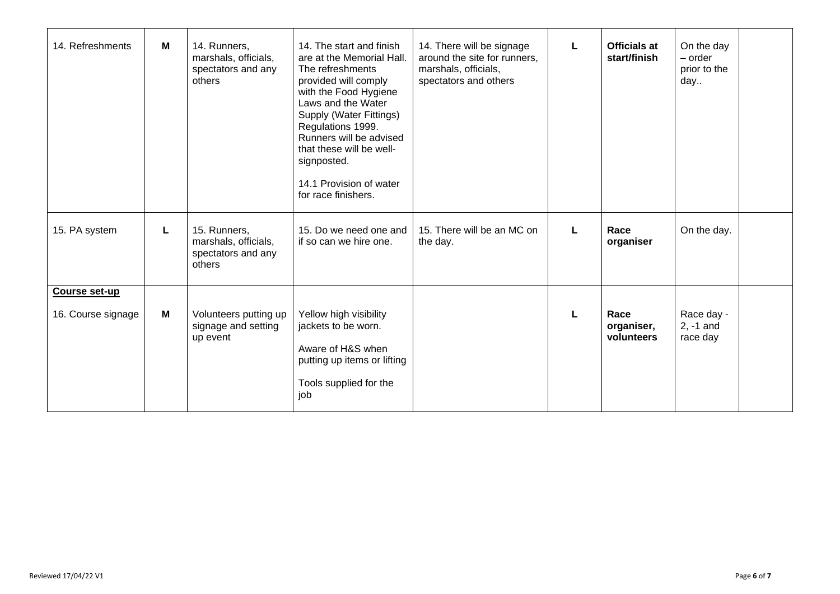| 14. Refreshments                    | M | 14. Runners,<br>marshals, officials,<br>spectators and any<br>others | 14. The start and finish<br>are at the Memorial Hall.<br>The refreshments<br>provided will comply<br>with the Food Hygiene<br>Laws and the Water<br>Supply (Water Fittings)<br>Regulations 1999.<br>Runners will be advised<br>that these will be well-<br>signposted.<br>14.1 Provision of water<br>for race finishers. | 14. There will be signage<br>around the site for runners,<br>marshals, officials,<br>spectators and others |   | <b>Officials at</b><br>start/finish | On the day<br>- order<br>prior to the<br>day |  |
|-------------------------------------|---|----------------------------------------------------------------------|--------------------------------------------------------------------------------------------------------------------------------------------------------------------------------------------------------------------------------------------------------------------------------------------------------------------------|------------------------------------------------------------------------------------------------------------|---|-------------------------------------|----------------------------------------------|--|
| 15. PA system                       | L | 15. Runners,<br>marshals, officials,<br>spectators and any<br>others | 15. Do we need one and<br>if so can we hire one.                                                                                                                                                                                                                                                                         | 15. There will be an MC on<br>the day.                                                                     | L | Race<br>organiser                   | On the day.                                  |  |
| Course set-up<br>16. Course signage | M | Volunteers putting up<br>signage and setting<br>up event             | Yellow high visibility<br>jackets to be worn.<br>Aware of H&S when<br>putting up items or lifting<br>Tools supplied for the<br>job                                                                                                                                                                                       |                                                                                                            |   | Race<br>organiser,<br>volunteers    | Race day -<br>$2, -1$ and<br>race day        |  |